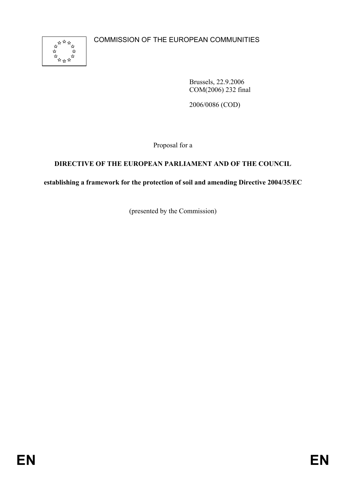

Brussels, 22.9.2006 COM(2006) 232 final

2006/0086 (COD)

Proposal for a

# **DIRECTIVE OF THE EUROPEAN PARLIAMENT AND OF THE COUNCIL**

**establishing a framework for the protection of soil and amending Directive 2004/35/EC** 

(presented by the Commission)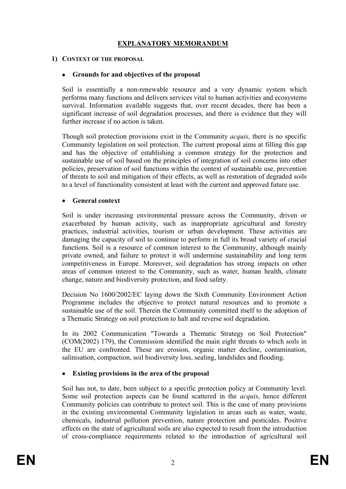# **EXPLANATORY MEMORANDUM**

### **1) CONTEXT OF THE PROPOSAL**

### • **Grounds for and objectives of the proposal**

Soil is essentially a non-renewable resource and a very dynamic system which performs many functions and delivers services vital to human activities and ecosystems survival. Information available suggests that, over recent decades, there has been a significant increase of soil degradation processes, and there is evidence that they will further increase if no action is taken.

Though soil protection provisions exist in the Community *acquis*, there is no specific Community legislation on soil protection. The current proposal aims at filling this gap and has the objective of establishing a common strategy for the protection and sustainable use of soil based on the principles of integration of soil concerns into other policies, preservation of soil functions within the context of sustainable use, prevention of threats to soil and mitigation of their effects, as well as restoration of degraded soils to a level of functionality consistent at least with the current and approved future use.

### • **General context**

Soil is under increasing environmental pressure across the Community, driven or exacerbated by human activity, such as inappropriate agricultural and forestry practices, industrial activities, tourism or urban development. These activities are damaging the capacity of soil to continue to perform in full its broad variety of crucial functions. Soil is a resource of common interest to the Community, although mainly private owned, and failure to protect it will undermine sustainability and long term competitiveness in Europe. Moreover, soil degradation has strong impacts on other areas of common interest to the Community, such as water, human health, climate change, nature and biodiversity protection, and food safety.

Decision No 1600/2002/EC laying down the Sixth Community Environment Action Programme includes the objective to protect natural resources and to promote a sustainable use of the soil. Therein the Community committed itself to the adoption of a Thematic Strategy on soil protection to halt and reverse soil degradation.

In its 2002 Communication "Towards a Thematic Strategy on Soil Protection" (COM(2002) 179), the Commission identified the main eight threats to which soils in the EU are confronted. These are erosion, organic matter decline, contamination, salinisation, compaction, soil biodiversity loss, sealing, landslides and flooding.

#### • **Existing provisions in the area of the proposal**

Soil has not, to date, been subject to a specific protection policy at Community level. Some soil protection aspects can be found scattered in the *acquis*, hence different Community policies can contribute to protect soil. This is the case of many provisions in the existing environmental Community legislation in areas such as water, waste, chemicals, industrial pollution prevention, nature protection and pesticides. Positive effects on the state of agricultural soils are also expected to result from the introduction of cross-compliance requirements related to the introduction of agricultural soil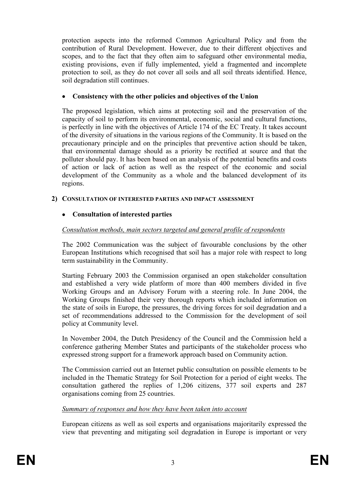protection aspects into the reformed Common Agricultural Policy and from the contribution of Rural Development. However, due to their different objectives and scopes, and to the fact that they often aim to safeguard other environmental media, existing provisions, even if fully implemented, yield a fragmented and incomplete protection to soil, as they do not cover all soils and all soil threats identified. Hence, soil degradation still continues.

### • **Consistency with the other policies and objectives of the Union**

The proposed legislation, which aims at protecting soil and the preservation of the capacity of soil to perform its environmental, economic, social and cultural functions, is perfectly in line with the objectives of Article 174 of the EC Treaty. It takes account of the diversity of situations in the various regions of the Community. It is based on the precautionary principle and on the principles that preventive action should be taken, that environmental damage should as a priority be rectified at source and that the polluter should pay. It has been based on an analysis of the potential benefits and costs of action or lack of action as well as the respect of the economic and social development of the Community as a whole and the balanced development of its regions.

### **2) CONSULTATION OF INTERESTED PARTIES AND IMPACT ASSESSMENT**

## • **Consultation of interested parties**

### <sup>211</sup>*Consultation methods, main sectors targeted and general profile of respondents*

The 2002 Communication was the subject of favourable conclusions by the other European Institutions which recognised that soil has a major role with respect to long term sustainability in the Community.

Starting February 2003 the Commission organised an open stakeholder consultation and established a very wide platform of more than 400 members divided in five Working Groups and an Advisory Forum with a steering role. In June 2004, the Working Groups finished their very thorough reports which included information on the state of soils in Europe, the pressures, the driving forces for soil degradation and a set of recommendations addressed to the Commission for the development of soil policy at Community level.

In November 2004, the Dutch Presidency of the Council and the Commission held a conference gathering Member States and participants of the stakeholder process who expressed strong support for a framework approach based on Community action.

The Commission carried out an Internet public consultation on possible elements to be included in the Thematic Strategy for Soil Protection for a period of eight weeks. The consultation gathered the replies of 1,206 citizens, 377 soil experts and 287 organisations coming from 25 countries.

### **Summary of responses and how they have been taken into account**

European citizens as well as soil experts and organisations majoritarily expressed the view that preventing and mitigating soil degradation in Europe is important or very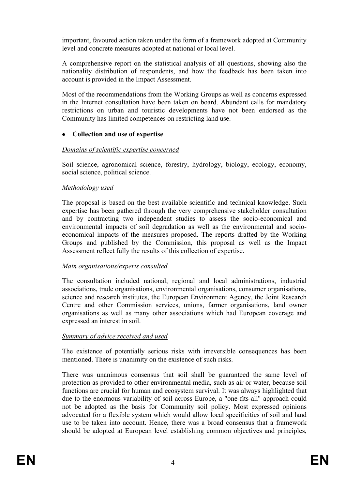important, favoured action taken under the form of a framework adopted at Community level and concrete measures adopted at national or local level.

A comprehensive report on the statistical analysis of all questions, showing also the nationality distribution of respondents, and how the feedback has been taken into account is provided in the Impact Assessment.

Most of the recommendations from the Working Groups as well as concerns expressed in the Internet consultation have been taken on board. Abundant calls for mandatory restrictions on urban and touristic developments have not been endorsed as the Community has limited competences on restricting land use.

### • **Collection and use of expertise**

#### <sup>221</sup>*Domains of scientific expertise concerned*

Soil science, agronomical science, forestry, hydrology, biology, ecology, economy, social science, political science.

### <sup>222</sup>*Methodology used*

The proposal is based on the best available scientific and technical knowledge. Such expertise has been gathered through the very comprehensive stakeholder consultation and by contracting two independent studies to assess the socio-economical and environmental impacts of soil degradation as well as the environmental and socioeconomical impacts of the measures proposed. The reports drafted by the Working Groups and published by the Commission, this proposal as well as the Impact Assessment reflect fully the results of this collection of expertise.

#### <sup>223</sup>*Main organisations/experts consulted*

The consultation included national, regional and local administrations, industrial associations, trade organisations, environmental organisations, consumer organisations, science and research institutes, the European Environment Agency, the Joint Research Centre and other Commission services, unions, farmer organisations, land owner organisations as well as many other associations which had European coverage and expressed an interest in soil.

#### <sup>2244</sup>*Summary of advice received and used*

The existence of potentially serious risks with irreversible consequences has been mentioned. There is unanimity on the existence of such risks.

There was unanimous consensus that soil shall be guaranteed the same level of protection as provided to other environmental media, such as air or water, because soil functions are crucial for human and ecosystem survival. It was always highlighted that due to the enormous variability of soil across Europe, a "one-fits-all" approach could not be adopted as the basis for Community soil policy. Most expressed opinions advocated for a flexible system which would allow local specificities of soil and land use to be taken into account. Hence, there was a broad consensus that a framework should be adopted at European level establishing common objectives and principles,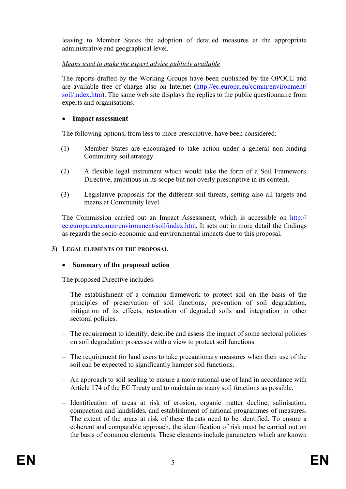leaving to Member States the adoption of detailed measures at the appropriate administrative and geographical level.

### <sup>226</sup>*Means used to make the expert advice publicly available*

The reports drafted by the Working Groups have been published by the OPOCE and are available free of charge also on Internet (http://ec.europa.eu/comm/environment/ soil/index.htm). The same web site displays the replies to the public questionnaire from experts and organisations.

### • **Impact assessment**

The following options, from less to more prescriptive, have been considered:

- (1) Member States are encouraged to take action under a general non-binding Community soil strategy.
- (2) A flexible legal instrument which would take the form of a Soil Framework Directive, ambitious in its scope but not overly prescriptive in its content.
- (3) Legislative proposals for the different soil threats, setting also all targets and means at Community level.

The Commission carried out an Impact Assessment, which is accessible on http:// ec.europa.eu/comm/environment/soil/index.htm. It sets out in more detail the findings as regards the socio-economic and environmental impacts due to this proposal.

### **3) LEGAL ELEMENTS OF THE PROPOSAL**

### • **Summary of the proposed action**

The proposed Directive includes:

- The establishment of a common framework to protect soil on the basis of the principles of preservation of soil functions, prevention of soil degradation, mitigation of its effects, restoration of degraded soils and integration in other sectoral policies.
- The requirement to identify, describe and assess the impact of some sectoral policies on soil degradation processes with a view to protect soil functions.
- The requirement for land users to take precautionary measures when their use of the soil can be expected to significantly hamper soil functions.
- An approach to soil sealing to ensure a more rational use of land in accordance with Article 174 of the EC Treaty and to maintain as many soil functions as possible.
- Identification of areas at risk of erosion, organic matter decline, salinisation, compaction and landslides, and establishment of national programmes of measures. The extent of the areas at risk of these threats need to be identified. To ensure a coherent and comparable approach, the identification of risk must be carried out on the basis of common elements. These elements include parameters which are known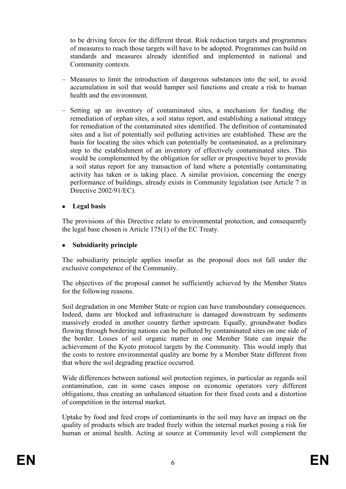to be driving forces for the different threat. Risk reduction targets and programmes of measures to reach those targets will have to be adopted. Programmes can build on standards and measures already identified and implemented in national and Community contexts.

- Measures to limit the introduction of dangerous substances into the soil, to avoid accumulation in soil that would hamper soil functions and create a risk to human health and the environment.
- Setting up an inventory of contaminated sites, a mechanism for funding the remediation of orphan sites, a soil status report, and establishing a national strategy for remediation of the contaminated sites identified. The definition of contaminated sites and a list of potentially soil polluting activities are established. These are the basis for locating the sites which can potentially be contaminated, as a preliminary step to the establishment of an inventory of effectively contaminated sites. This would be complemented by the obligation for seller or prospective buyer to provide a soil status report for any transaction of land where a potentially contaminating activity has taken or is taking place. A similar provision, concerning the energy performance of buildings, already exists in Community legislation (see Article 7 in Directive 2002/91/EC).
- **Legal basis**

The provisions of this Directive relate to environmental protection, and consequently the legal base chosen is Article 175(1) of the EC Treaty.

# • **Subsidiarity principle**

The subsidiarity principle applies insofar as the proposal does not fall under the exclusive competence of the Community.

 The objectives of the proposal cannot be sufficiently achieved by the Member States for the following reasons.

Soil degradation in one Member State or region can have transboundary consequences. Indeed, dams are blocked and infrastructure is damaged downstream by sediments massively eroded in another country farther upstream. Equally, groundwater bodies flowing through bordering nations can be polluted by contaminated sites on one side of the border. Losses of soil organic matter in one Member State can impair the achievement of the Kyoto protocol targets by the Community. This would imply that the costs to restore environmental quality are borne by a Member State different from that where the soil degrading practice occurred.

Wide differences between national soil protection regimes, in particular as regards soil contamination, can in some cases impose on economic operators very different obligations, thus creating an unbalanced situation for their fixed costs and a distortion of competition in the internal market.

Uptake by food and feed crops of contaminants in the soil may have an impact on the quality of products which are traded freely within the internal market posing a risk for human or animal health. Acting at source at Community level will complement the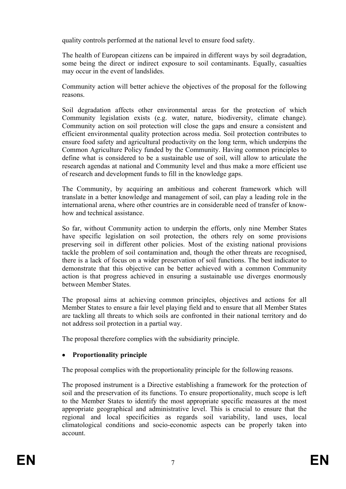quality controls performed at the national level to ensure food safety.

The health of European citizens can be impaired in different ways by soil degradation, some being the direct or indirect exposure to soil contaminants. Equally, casualties may occur in the event of landslides.

 Community action will better achieve the objectives of the proposal for the following reasons.

Soil degradation affects other environmental areas for the protection of which Community legislation exists (e.g. water, nature, biodiversity, climate change). Community action on soil protection will close the gaps and ensure a consistent and efficient environmental quality protection across media. Soil protection contributes to ensure food safety and agricultural productivity on the long term, which underpins the Common Agriculture Policy funded by the Community. Having common principles to define what is considered to be a sustainable use of soil, will allow to articulate the research agendas at national and Community level and thus make a more efficient use of research and development funds to fill in the knowledge gaps.

The Community, by acquiring an ambitious and coherent framework which will translate in a better knowledge and management of soil, can play a leading role in the international arena, where other countries are in considerable need of transfer of knowhow and technical assistance.

So far, without Community action to underpin the efforts, only nine Member States have specific legislation on soil protection, the others rely on some provisions preserving soil in different other policies. Most of the existing national provisions tackle the problem of soil contamination and, though the other threats are recognised, there is a lack of focus on a wider preservation of soil functions. The best indicator to demonstrate that this objective can be better achieved with a common Community action is that progress achieved in ensuring a sustainable use diverges enormously between Member States.

The proposal aims at achieving common principles, objectives and actions for all Member States to ensure a fair level playing field and to ensure that all Member States are tackling all threats to which soils are confronted in their national territory and do not address soil protection in a partial way.

The proposal therefore complies with the subsidiarity principle.

# • **Proportionality principle**

The proposal complies with the proportionality principle for the following reasons.

The proposed instrument is a Directive establishing a framework for the protection of soil and the preservation of its functions. To ensure proportionality, much scope is left to the Member States to identify the most appropriate specific measures at the most appropriate geographical and administrative level. This is crucial to ensure that the regional and local specificities as regards soil variability, land uses, local climatological conditions and socio-economic aspects can be properly taken into account.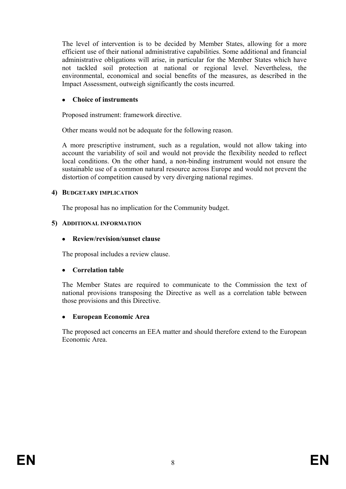The level of intervention is to be decided by Member States, allowing for a more efficient use of their national administrative capabilities. Some additional and financial administrative obligations will arise, in particular for the Member States which have not tackled soil protection at national or regional level. Nevertheless, the environmental, economical and social benefits of the measures, as described in the Impact Assessment, outweigh significantly the costs incurred.

### • **Choice of instruments**

Proposed instrument: framework directive.

Other means would not be adequate for the following reason.

A more prescriptive instrument, such as a regulation, would not allow taking into account the variability of soil and would not provide the flexibility needed to reflect local conditions. On the other hand, a non-binding instrument would not ensure the sustainable use of a common natural resource across Europe and would not prevent the distortion of competition caused by very diverging national regimes.

## **4) BUDGETARY IMPLICATION**

The proposal has no implication for the Community budget.

## **5) ADDITIONAL INFORMATION**

# • **Review/revision/sunset clause**

The proposal includes a review clause.

# • **Correlation table**

The Member States are required to communicate to the Commission the text of national provisions transposing the Directive as well as a correlation table between those provisions and this Directive.

# • **European Economic Area**

The proposed act concerns an EEA matter and should therefore extend to the European Economic Area.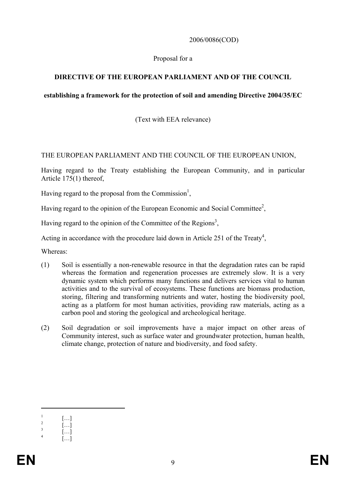### 2006/0086(COD)

### Proposal for a

### **DIRECTIVE OF THE EUROPEAN PARLIAMENT AND OF THE COUNCIL**

### **establishing a framework for the protection of soil and amending Directive 2004/35/EC**

(Text with EEA relevance)

### THE EUROPEAN PARLIAMENT AND THE COUNCIL OF THE EUROPEAN UNION,

Having regard to the Treaty establishing the European Community, and in particular Article 175(1) thereof,

Having regard to the proposal from the Commission<sup>1</sup>,

Having regard to the opinion of the European Economic and Social Committee<sup>2</sup>,

Having regard to the opinion of the Committee of the Regions<sup>3</sup>,

Acting in accordance with the procedure laid down in Article 251 of the Treaty<sup>4</sup>,

Whereas:

- (1) Soil is essentially a non-renewable resource in that the degradation rates can be rapid whereas the formation and regeneration processes are extremely slow. It is a very dynamic system which performs many functions and delivers services vital to human activities and to the survival of ecosystems. These functions are biomass production, storing, filtering and transforming nutrients and water, hosting the biodiversity pool, acting as a platform for most human activities, providing raw materials, acting as a carbon pool and storing the geological and archeological heritage.
- (2) Soil degradation or soil improvements have a major impact on other areas of Community interest, such as surface water and groundwater protection, human health, climate change, protection of nature and biodiversity, and food safety.

1

<sup>1</sup> […] 2

 <sup>[…]</sup>  3

 <sup>[…]</sup>  4

 $[...]$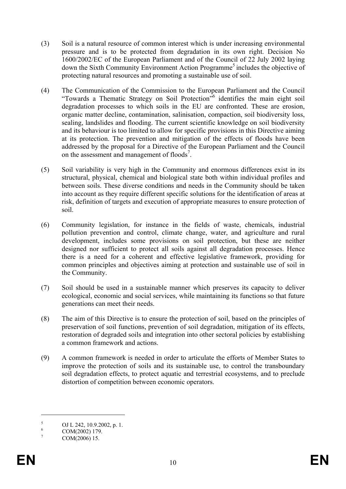- (3) Soil is a natural resource of common interest which is under increasing environmental pressure and is to be protected from degradation in its own right. Decision No 1600/2002/EC of the European Parliament and of the Council of 22 July 2002 laying down the Sixth Community Environment Action Programme<sup>5</sup> includes the objective of protecting natural resources and promoting a sustainable use of soil.
- (4) The Communication of the Commission to the European Parliament and the Council "Towards a Thematic Strategy on Soil Protection"<sup>6</sup> identifies the main eight soil degradation processes to which soils in the EU are confronted. These are erosion, organic matter decline, contamination, salinisation, compaction, soil biodiversity loss, sealing, landslides and flooding. The current scientific knowledge on soil biodiversity and its behaviour is too limited to allow for specific provisions in this Directive aiming at its protection. The prevention and mitigation of the effects of floods have been addressed by the proposal for a Directive of the European Parliament and the Council on the assessment and management of floods<sup>7</sup>.
- (5) Soil variability is very high in the Community and enormous differences exist in its structural, physical, chemical and biological state both within individual profiles and between soils. These diverse conditions and needs in the Community should be taken into account as they require different specific solutions for the identification of areas at risk, definition of targets and execution of appropriate measures to ensure protection of soil.
- (6) Community legislation, for instance in the fields of waste, chemicals, industrial pollution prevention and control, climate change, water, and agriculture and rural development, includes some provisions on soil protection, but these are neither designed nor sufficient to protect all soils against all degradation processes. Hence there is a need for a coherent and effective legislative framework, providing for common principles and objectives aiming at protection and sustainable use of soil in the Community.
- (7) Soil should be used in a sustainable manner which preserves its capacity to deliver ecological, economic and social services, while maintaining its functions so that future generations can meet their needs.
- (8) The aim of this Directive is to ensure the protection of soil, based on the principles of preservation of soil functions, prevention of soil degradation, mitigation of its effects, restoration of degraded soils and integration into other sectoral policies by establishing a common framework and actions.
- (9) A common framework is needed in order to articulate the efforts of Member States to improve the protection of soils and its sustainable use, to control the transboundary soil degradation effects, to protect aquatic and terrestrial ecosystems, and to preclude distortion of competition between economic operators.

<u>.</u>

<sup>5</sup> OJ L 242, 10.9.2002, p. 1.

<sup>6</sup> COM(2002) 179.

<sup>7</sup> COM(2006) 15.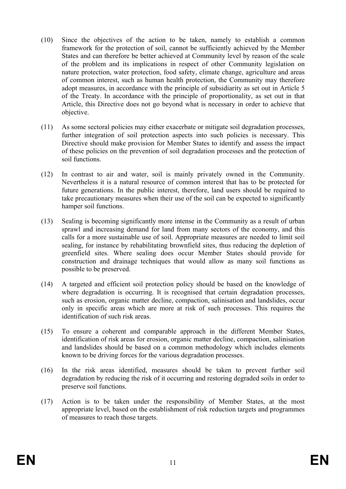- (10) Since the objectives of the action to be taken, namely to establish a common framework for the protection of soil, cannot be sufficiently achieved by the Member States and can therefore be better achieved at Community level by reason of the scale of the problem and its implications in respect of other Community legislation on nature protection, water protection, food safety, climate change, agriculture and areas of common interest, such as human health protection, the Community may therefore adopt measures, in accordance with the principle of subsidiarity as set out in Article 5 of the Treaty. In accordance with the principle of proportionality, as set out in that Article, this Directive does not go beyond what is necessary in order to achieve that objective.
- (11) As some sectoral policies may either exacerbate or mitigate soil degradation processes, further integration of soil protection aspects into such policies is necessary. This Directive should make provision for Member States to identify and assess the impact of these policies on the prevention of soil degradation processes and the protection of soil functions.
- (12) In contrast to air and water, soil is mainly privately owned in the Community. Nevertheless it is a natural resource of common interest that has to be protected for future generations. In the public interest, therefore, land users should be required to take precautionary measures when their use of the soil can be expected to significantly hamper soil functions.
- (13) Sealing is becoming significantly more intense in the Community as a result of urban sprawl and increasing demand for land from many sectors of the economy, and this calls for a more sustainable use of soil. Appropriate measures are needed to limit soil sealing, for instance by rehabilitating brownfield sites, thus reducing the depletion of greenfield sites. Where sealing does occur Member States should provide for construction and drainage techniques that would allow as many soil functions as possible to be preserved.
- (14) A targeted and efficient soil protection policy should be based on the knowledge of where degradation is occurring. It is recognised that certain degradation processes, such as erosion, organic matter decline, compaction, salinisation and landslides, occur only in specific areas which are more at risk of such processes. This requires the identification of such risk areas.
- (15) To ensure a coherent and comparable approach in the different Member States, identification of risk areas for erosion, organic matter decline, compaction, salinisation and landslides should be based on a common methodology which includes elements known to be driving forces for the various degradation processes.
- (16) In the risk areas identified, measures should be taken to prevent further soil degradation by reducing the risk of it occurring and restoring degraded soils in order to preserve soil functions.
- (17) Action is to be taken under the responsibility of Member States, at the most appropriate level, based on the establishment of risk reduction targets and programmes of measures to reach those targets.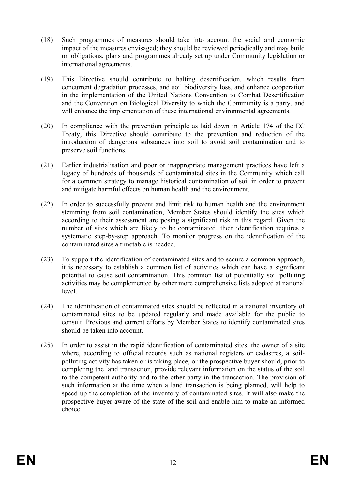- (18) Such programmes of measures should take into account the social and economic impact of the measures envisaged; they should be reviewed periodically and may build on obligations, plans and programmes already set up under Community legislation or international agreements.
- (19) This Directive should contribute to halting desertification, which results from concurrent degradation processes, and soil biodiversity loss, and enhance cooperation in the implementation of the United Nations Convention to Combat Desertification and the Convention on Biological Diversity to which the Community is a party, and will enhance the implementation of these international environmental agreements.
- (20) In compliance with the prevention principle as laid down in Article 174 of the EC Treaty, this Directive should contribute to the prevention and reduction of the introduction of dangerous substances into soil to avoid soil contamination and to preserve soil functions.
- (21) Earlier industrialisation and poor or inappropriate management practices have left a legacy of hundreds of thousands of contaminated sites in the Community which call for a common strategy to manage historical contamination of soil in order to prevent and mitigate harmful effects on human health and the environment.
- (22) In order to successfully prevent and limit risk to human health and the environment stemming from soil contamination, Member States should identify the sites which according to their assessment are posing a significant risk in this regard. Given the number of sites which are likely to be contaminated, their identification requires a systematic step-by-step approach. To monitor progress on the identification of the contaminated sites a timetable is needed.
- (23) To support the identification of contaminated sites and to secure a common approach, it is necessary to establish a common list of activities which can have a significant potential to cause soil contamination. This common list of potentially soil polluting activities may be complemented by other more comprehensive lists adopted at national level.
- (24) The identification of contaminated sites should be reflected in a national inventory of contaminated sites to be updated regularly and made available for the public to consult. Previous and current efforts by Member States to identify contaminated sites should be taken into account.
- (25) In order to assist in the rapid identification of contaminated sites, the owner of a site where, according to official records such as national registers or cadastres, a soilpolluting activity has taken or is taking place, or the prospective buyer should, prior to completing the land transaction, provide relevant information on the status of the soil to the competent authority and to the other party in the transaction. The provision of such information at the time when a land transaction is being planned, will help to speed up the completion of the inventory of contaminated sites. It will also make the prospective buyer aware of the state of the soil and enable him to make an informed choice.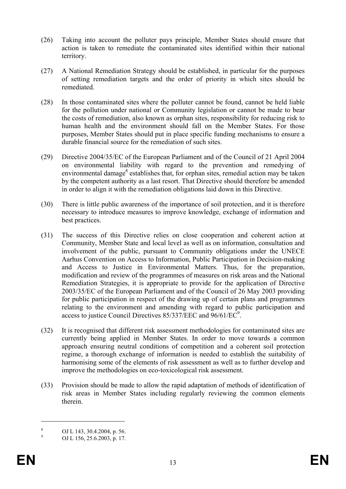- (26) Taking into account the polluter pays principle, Member States should ensure that action is taken to remediate the contaminated sites identified within their national territory.
- (27) A National Remediation Strategy should be established, in particular for the purposes of setting remediation targets and the order of priority in which sites should be remediated.
- (28) In those contaminated sites where the polluter cannot be found, cannot be held liable for the pollution under national or Community legislation or cannot be made to bear the costs of remediation, also known as orphan sites, responsibility for reducing risk to human health and the environment should fall on the Member States. For those purposes, Member States should put in place specific funding mechanisms to ensure a durable financial source for the remediation of such sites.
- (29) Directive 2004/35/EC of the European Parliament and of the Council of 21 April 2004 on environmental liability with regard to the prevention and remedying of environmental damage<sup>8</sup> establishes that, for orphan sites, remedial action may be taken by the competent authority as a last resort. That Directive should therefore be amended in order to align it with the remediation obligations laid down in this Directive.
- (30) There is little public awareness of the importance of soil protection, and it is therefore necessary to introduce measures to improve knowledge, exchange of information and best practices.
- (31) The success of this Directive relies on close cooperation and coherent action at Community, Member State and local level as well as on information, consultation and involvement of the public, pursuant to Community obligations under the UNECE Aarhus Convention on Access to Information, Public Participation in Decision-making and Access to Justice in Environmental Matters. Thus, for the preparation, modification and review of the programmes of measures on risk areas and the National Remediation Strategies, it is appropriate to provide for the application of Directive 2003/35/EC of the European Parliament and of the Council of 26 May 2003 providing for public participation in respect of the drawing up of certain plans and programmes relating to the environment and amending with regard to public participation and access to justice Council Directives 85/337/EEC and 96/61/EC<sup>9</sup>.
- (32) It is recognised that different risk assessment methodologies for contaminated sites are currently being applied in Member States. In order to move towards a common approach ensuring neutral conditions of competition and a coherent soil protection regime, a thorough exchange of information is needed to establish the suitability of harmonising some of the elements of risk assessment as well as to further develop and improve the methodologies on eco-toxicological risk assessment.
- (33) Provision should be made to allow the rapid adaptation of methods of identification of risk areas in Member States including regularly reviewing the common elements therein.

1

<sup>8</sup> OJ L 143, 30.4.2004, p. 56.

<sup>9</sup> OJ L 156, 25.6.2003, p. 17.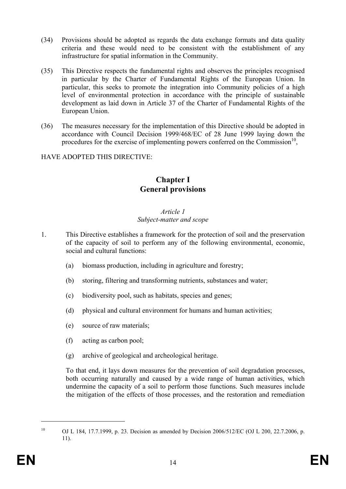- (34) Provisions should be adopted as regards the data exchange formats and data quality criteria and these would need to be consistent with the establishment of any infrastructure for spatial information in the Community.
- (35) This Directive respects the fundamental rights and observes the principles recognised in particular by the Charter of Fundamental Rights of the European Union. In particular, this seeks to promote the integration into Community policies of a high level of environmental protection in accordance with the principle of sustainable development as laid down in Article 37 of the Charter of Fundamental Rights of the European Union.
- (36) The measures necessary for the implementation of this Directive should be adopted in accordance with Council Decision 1999/468/EC of 28 June 1999 laying down the procedures for the exercise of implementing powers conferred on the Commission<sup>10</sup>,

### HAVE ADOPTED THIS DIRECTIVE:

# **Chapter I General provisions**

#### *Article 1*

### *Subject-matter and scope*

- 1. This Directive establishes a framework for the protection of soil and the preservation of the capacity of soil to perform any of the following environmental, economic, social and cultural functions:
	- (a) biomass production, including in agriculture and forestry;
	- (b) storing, filtering and transforming nutrients, substances and water;
	- (c) biodiversity pool, such as habitats, species and genes;
	- (d) physical and cultural environment for humans and human activities;
	- (e) source of raw materials;
	- (f) acting as carbon pool;
	- (g) archive of geological and archeological heritage.

To that end, it lays down measures for the prevention of soil degradation processes, both occurring naturally and caused by a wide range of human activities, which undermine the capacity of a soil to perform those functions. Such measures include the mitigation of the effects of those processes, and the restoration and remediation

1

<sup>&</sup>lt;sup>10</sup> OJ L 184, 17.7.1999, p. 23. Decision as amended by Decision 2006/512/EC (OJ L 200, 22.7.2006, p. 11).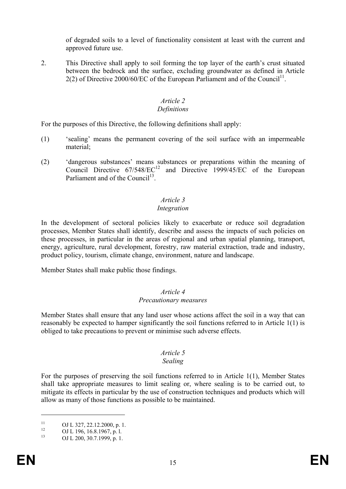of degraded soils to a level of functionality consistent at least with the current and approved future use.

2. This Directive shall apply to soil forming the top layer of the earth's crust situated between the bedrock and the surface, excluding groundwater as defined in Article 2(2) of Directive 2000/60/EC of the European Parliament and of the Council<sup>11</sup>.

# *Article 2*

### *Definitions*

For the purposes of this Directive, the following definitions shall apply:

- (1) 'sealing' means the permanent covering of the soil surface with an impermeable material;
- (2) 'dangerous substances' means substances or preparations within the meaning of Council Directive  $67/548/EC^{12}$  and Directive 1999/45/EC of the European Parliament and of the Council<sup>13</sup>

# *Article 3*

# *Integration*

In the development of sectoral policies likely to exacerbate or reduce soil degradation processes, Member States shall identify, describe and assess the impacts of such policies on these processes, in particular in the areas of regional and urban spatial planning, transport, energy, agriculture, rural development, forestry, raw material extraction, trade and industry, product policy, tourism, climate change, environment, nature and landscape.

Member States shall make public those findings.

#### *Article 4 Precautionary measures*

Member States shall ensure that any land user whose actions affect the soil in a way that can reasonably be expected to hamper significantly the soil functions referred to in Article 1(1) is obliged to take precautions to prevent or minimise such adverse effects.

# *Article 5*

### *Sealing*

For the purposes of preserving the soil functions referred to in Article 1(1), Member States shall take appropriate measures to limit sealing or, where sealing is to be carried out, to mitigate its effects in particular by the use of construction techniques and products which will allow as many of those functions as possible to be maintained.

<u>.</u>

<sup>&</sup>lt;sup>11</sup> OJ L 327, 22.12.2000, p. 1.<br>
OJ L 196, 16.8.1967, p. l.<br>
OJ L 200, 20.7.1999, p. 1.

OJ L 200, 30.7.1999, p. 1.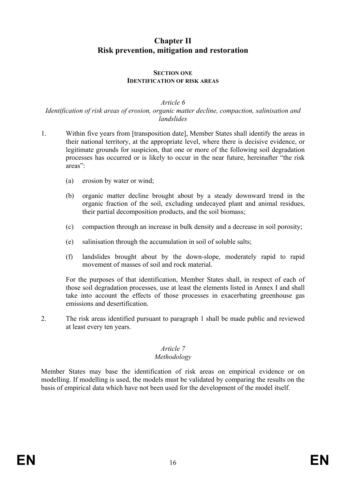# **Chapter II Risk prevention, mitigation and restoration**

#### **SECTION ONE IDENTIFICATION OF RISK AREAS**

#### *Article 6 Identification of risk areas of erosion, organic matter decline, compaction, salinisation and landslides*

- 1. Within five years from [transposition date], Member States shall identify the areas in their national territory, at the appropriate level, where there is decisive evidence, or legitimate grounds for suspicion, that one or more of the following soil degradation processes has occurred or is likely to occur in the near future, hereinafter "the risk areas":
	- (a) erosion by water or wind;
	- (b) organic matter decline brought about by a steady downward trend in the organic fraction of the soil, excluding undecayed plant and animal residues, their partial decomposition products, and the soil biomass;
	- (c) compaction through an increase in bulk density and a decrease in soil porosity;
	- (e) salinisation through the accumulation in soil of soluble salts;
	- (f) landslides brought about by the down-slope, moderately rapid to rapid movement of masses of soil and rock material.

For the purposes of that identification, Member States shall, in respect of each of those soil degradation processes, use at least the elements listed in Annex I and shall take into account the effects of those processes in exacerbating greenhouse gas emissions and desertification.

2. The risk areas identified pursuant to paragraph 1 shall be made public and reviewed at least every ten years.

# *Article 7*

### *Methodology*

Member States may base the identification of risk areas on empirical evidence or on modelling. If modelling is used, the models must be validated by comparing the results on the basis of empirical data which have not been used for the development of the model itself.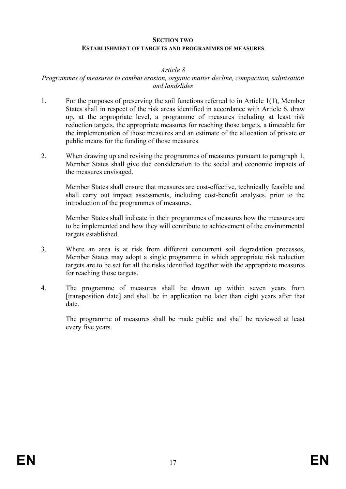#### **SECTION TWO**

#### **ESTABLISHMENT OF TARGETS AND PROGRAMMES OF MEASURES**

#### *Article 8*

### *Programmes of measures to combat erosion, organic matter decline, compaction, salinisation and landslides*

- 1. For the purposes of preserving the soil functions referred to in Article 1(1), Member States shall in respect of the risk areas identified in accordance with Article 6, draw up, at the appropriate level, a programme of measures including at least risk reduction targets, the appropriate measures for reaching those targets, a timetable for the implementation of those measures and an estimate of the allocation of private or public means for the funding of those measures.
- 2. When drawing up and revising the programmes of measures pursuant to paragraph 1, Member States shall give due consideration to the social and economic impacts of the measures envisaged.

Member States shall ensure that measures are cost-effective, technically feasible and shall carry out impact assessments, including cost-benefit analyses, prior to the introduction of the programmes of measures.

Member States shall indicate in their programmes of measures how the measures are to be implemented and how they will contribute to achievement of the environmental targets established.

- 3. Where an area is at risk from different concurrent soil degradation processes, Member States may adopt a single programme in which appropriate risk reduction targets are to be set for all the risks identified together with the appropriate measures for reaching those targets.
- 4. The programme of measures shall be drawn up within seven years from [transposition date] and shall be in application no later than eight years after that date.

The programme of measures shall be made public and shall be reviewed at least every five years.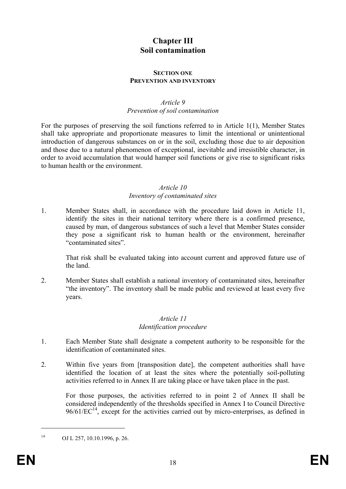# **Chapter III Soil contamination**

#### **SECTION ONE PREVENTION AND INVENTORY**

#### *Article 9 Prevention of soil contamination*

For the purposes of preserving the soil functions referred to in Article 1(1), Member States shall take appropriate and proportionate measures to limit the intentional or unintentional introduction of dangerous substances on or in the soil, excluding those due to air deposition and those due to a natural phenomenon of exceptional, inevitable and irresistible character, in order to avoid accumulation that would hamper soil functions or give rise to significant risks to human health or the environment.

#### *Article 10*

#### *Inventory of contaminated sites*

1. Member States shall, in accordance with the procedure laid down in Article 11, identify the sites in their national territory where there is a confirmed presence, caused by man, of dangerous substances of such a level that Member States consider they pose a significant risk to human health or the environment, hereinafter "contaminated sites".

That risk shall be evaluated taking into account current and approved future use of the land.

2. Member States shall establish a national inventory of contaminated sites, hereinafter "the inventory". The inventory shall be made public and reviewed at least every five years.

#### *Article 11 Identification procedure*

- 1. Each Member State shall designate a competent authority to be responsible for the identification of contaminated sites.
- 2. Within five years from [transposition date], the competent authorities shall have identified the location of at least the sites where the potentially soil-polluting activities referred to in Annex II are taking place or have taken place in the past.

For those purposes, the activities referred to in point 2 of Annex II shall be considered independently of the thresholds specified in Annex I to Council Directive  $96/61/EC^{14}$ , except for the activities carried out by micro-enterprises, as defined in

14 OJ L 257, 10.10.1996, p. 26.

1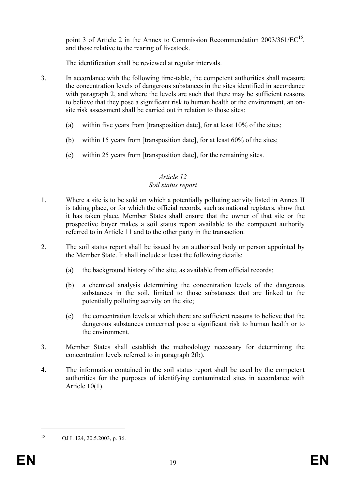point 3 of Article 2 in the Annex to Commission Recommendation  $2003/361/EC^{15}$ , and those relative to the rearing of livestock.

The identification shall be reviewed at regular intervals.

- 3. In accordance with the following time-table, the competent authorities shall measure the concentration levels of dangerous substances in the sites identified in accordance with paragraph 2, and where the levels are such that there may be sufficient reasons to believe that they pose a significant risk to human health or the environment, an onsite risk assessment shall be carried out in relation to those sites:
	- (a) within five years from [transposition date], for at least 10% of the sites;
	- (b) within 15 years from [transposition date], for at least 60% of the sites;
	- (c) within 25 years from [transposition date], for the remaining sites.

### *Article 12 Soil status report*

- 1. Where a site is to be sold on which a potentially polluting activity listed in Annex II is taking place, or for which the official records, such as national registers, show that it has taken place, Member States shall ensure that the owner of that site or the prospective buyer makes a soil status report available to the competent authority referred to in Article 11 and to the other party in the transaction.
- 2. The soil status report shall be issued by an authorised body or person appointed by the Member State. It shall include at least the following details:
	- (a) the background history of the site, as available from official records;
	- (b) a chemical analysis determining the concentration levels of the dangerous substances in the soil, limited to those substances that are linked to the potentially polluting activity on the site;
	- (c) the concentration levels at which there are sufficient reasons to believe that the dangerous substances concerned pose a significant risk to human health or to the environment.
- 3. Member States shall establish the methodology necessary for determining the concentration levels referred to in paragraph 2(b).
- 4. The information contained in the soil status report shall be used by the competent authorities for the purposes of identifying contaminated sites in accordance with Article 10(1).

1

<sup>15</sup> OJ L 124, 20.5.2003, p. 36.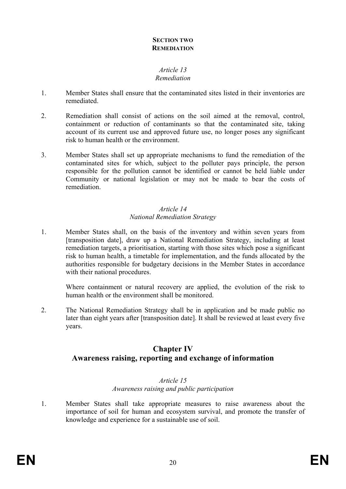### **SECTION TWO REMEDIATION**

### *Article 13 Remediation*

- 1. Member States shall ensure that the contaminated sites listed in their inventories are remediated.
- 2. Remediation shall consist of actions on the soil aimed at the removal, control, containment or reduction of contaminants so that the contaminated site, taking account of its current use and approved future use, no longer poses any significant risk to human health or the environment.
- 3. Member States shall set up appropriate mechanisms to fund the remediation of the contaminated sites for which, subject to the polluter pays principle, the person responsible for the pollution cannot be identified or cannot be held liable under Community or national legislation or may not be made to bear the costs of remediation.

### *Article 14 National Remediation Strategy*

1. Member States shall, on the basis of the inventory and within seven years from [transposition date], draw up a National Remediation Strategy, including at least remediation targets, a prioritisation, starting with those sites which pose a significant risk to human health, a timetable for implementation, and the funds allocated by the authorities responsible for budgetary decisions in the Member States in accordance with their national procedures.

Where containment or natural recovery are applied, the evolution of the risk to human health or the environment shall be monitored.

2. The National Remediation Strategy shall be in application and be made public no later than eight years after [transposition date]. It shall be reviewed at least every five years.

# **Chapter IV Awareness raising, reporting and exchange of information**

### *Article 15 Awareness raising and public participation*

1. Member States shall take appropriate measures to raise awareness about the importance of soil for human and ecosystem survival, and promote the transfer of knowledge and experience for a sustainable use of soil.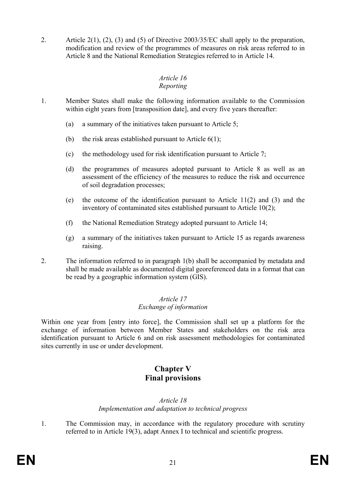2. Article 2(1), (2), (3) and (5) of Directive 2003/35/EC shall apply to the preparation, modification and review of the programmes of measures on risk areas referred to in Article 8 and the National Remediation Strategies referred to in Article 14.

#### *Article 16 Reporting*

- 1. Member States shall make the following information available to the Commission within eight years from [transposition date], and every five years thereafter:
	- (a) a summary of the initiatives taken pursuant to Article 5;
	- (b) the risk areas established pursuant to Article  $6(1)$ ;
	- (c) the methodology used for risk identification pursuant to Article 7;
	- (d) the programmes of measures adopted pursuant to Article 8 as well as an assessment of the efficiency of the measures to reduce the risk and occurrence of soil degradation processes;
	- (e) the outcome of the identification pursuant to Article 11(2) and (3) and the inventory of contaminated sites established pursuant to Article 10(2);
	- (f) the National Remediation Strategy adopted pursuant to Article 14;
	- (g) a summary of the initiatives taken pursuant to Article 15 as regards awareness raising.
- 2. The information referred to in paragraph 1(b) shall be accompanied by metadata and shall be made available as documented digital georeferenced data in a format that can be read by a geographic information system (GIS).

### *Article 17 Exchange of information*

Within one year from [entry into force], the Commission shall set up a platform for the exchange of information between Member States and stakeholders on the risk area identification pursuant to Article 6 and on risk assessment methodologies for contaminated sites currently in use or under development.

# **Chapter V Final provisions**

## *Article 18 Implementation and adaptation to technical progress*

1. The Commission may, in accordance with the regulatory procedure with scrutiny referred to in Article 19(3), adapt Annex I to technical and scientific progress.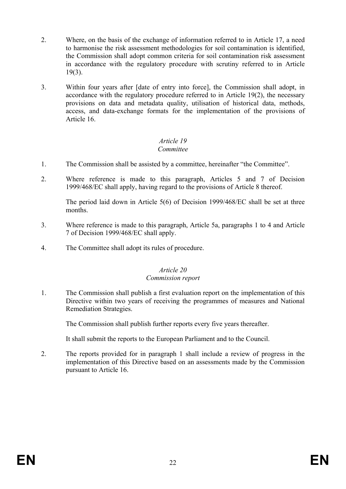- 2. Where, on the basis of the exchange of information referred to in Article 17, a need to harmonise the risk assessment methodologies for soil contamination is identified, the Commission shall adopt common criteria for soil contamination risk assessment in accordance with the regulatory procedure with scrutiny referred to in Article 19(3).
- 3. Within four years after [date of entry into force], the Commission shall adopt, in accordance with the regulatory procedure referred to in Article 19(2), the necessary provisions on data and metadata quality, utilisation of historical data, methods, access, and data-exchange formats for the implementation of the provisions of Article 16.

### *Article 19 Committee*

- 1. The Commission shall be assisted by a committee, hereinafter "the Committee".
- 2. Where reference is made to this paragraph, Articles 5 and 7 of Decision 1999/468/EC shall apply, having regard to the provisions of Article 8 thereof.

The period laid down in Article 5(6) of Decision 1999/468/EC shall be set at three months.

- 3. Where reference is made to this paragraph, Article 5a, paragraphs 1 to 4 and Article 7 of Decision 1999/468/EC shall apply.
- 4. The Committee shall adopt its rules of procedure.

### *Article 20*

#### *Commission report*

1. The Commission shall publish a first evaluation report on the implementation of this Directive within two years of receiving the programmes of measures and National Remediation Strategies.

The Commission shall publish further reports every five years thereafter.

It shall submit the reports to the European Parliament and to the Council.

2. The reports provided for in paragraph 1 shall include a review of progress in the implementation of this Directive based on an assessments made by the Commission pursuant to Article 16.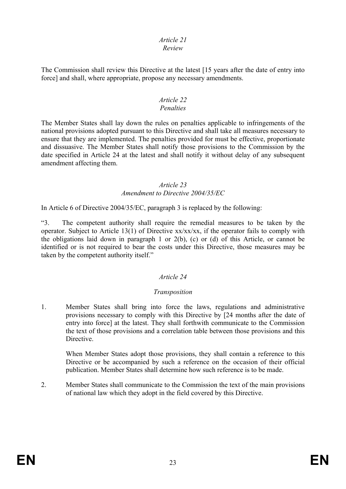### *Article 21*

#### *Review*

The Commission shall review this Directive at the latest [15 years after the date of entry into force] and shall, where appropriate, propose any necessary amendments.

#### *Article 22 Penalties*

The Member States shall lay down the rules on penalties applicable to infringements of the national provisions adopted pursuant to this Directive and shall take all measures necessary to ensure that they are implemented. The penalties provided for must be effective, proportionate and dissuasive. The Member States shall notify those provisions to the Commission by the date specified in Article 24 at the latest and shall notify it without delay of any subsequent amendment affecting them.

#### *Article 23 Amendment to Directive 2004/35/EC*

In Article 6 of Directive 2004/35/EC, paragraph 3 is replaced by the following:

"3. The competent authority shall require the remedial measures to be taken by the operator. Subject to Article 13(1) of Directive xx/xx/xx, if the operator fails to comply with the obligations laid down in paragraph 1 or 2(b), (c) or (d) of this Article, or cannot be identified or is not required to bear the costs under this Directive, those measures may be taken by the competent authority itself."

### *Article 24*

#### *Transposition*

1. Member States shall bring into force the laws, regulations and administrative provisions necessary to comply with this Directive by [24 months after the date of entry into force] at the latest. They shall forthwith communicate to the Commission the text of those provisions and a correlation table between those provisions and this Directive.

When Member States adopt those provisions, they shall contain a reference to this Directive or be accompanied by such a reference on the occasion of their official publication. Member States shall determine how such reference is to be made.

2. Member States shall communicate to the Commission the text of the main provisions of national law which they adopt in the field covered by this Directive.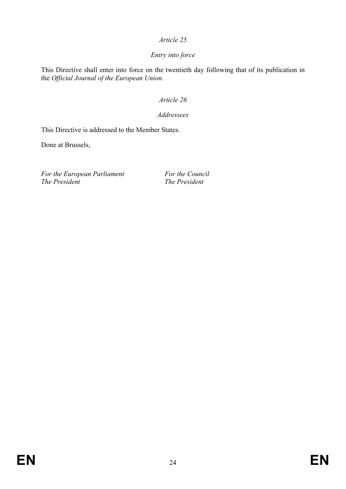### *Article 25*

# *Entry into force*

This Directive shall enter into force on the twentieth day following that of its publication in the *Official Journal of the European Union.* 

## *Article 26*

### *Addressees*

This Directive is addressed to the Member States.

Done at Brussels,

For the European Parliament For the Council *The President* The *President*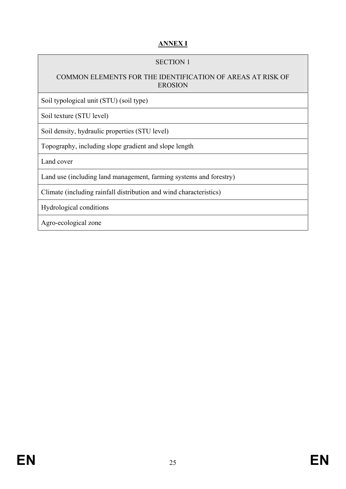# **ANNEX I**

## SECTION 1

### COMMON ELEMENTS FOR THE IDENTIFICATION OF AREAS AT RISK OF EROSION

Soil typological unit (STU) (soil type)

Soil texture (STU level)

Soil density, hydraulic properties (STU level)

Topography, including slope gradient and slope length

Land cover

Land use (including land management, farming systems and forestry)

Climate (including rainfall distribution and wind characteristics)

Hydrological conditions

Agro-ecological zone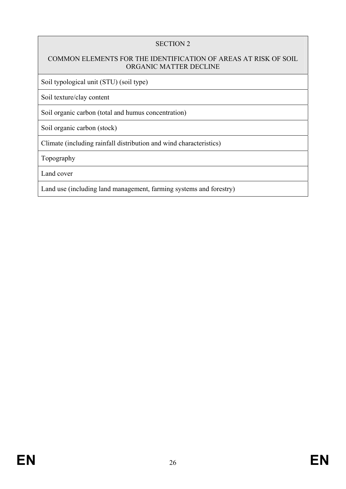# COMMON ELEMENTS FOR THE IDENTIFICATION OF AREAS AT RISK OF SOIL ORGANIC MATTER DECLINE

Soil typological unit (STU) (soil type)

Soil texture/clay content

Soil organic carbon (total and humus concentration)

Soil organic carbon (stock)

Climate (including rainfall distribution and wind characteristics)

Topography

Land cover

Land use (including land management, farming systems and forestry)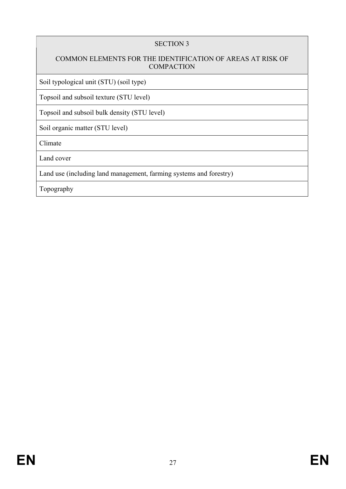# COMMON ELEMENTS FOR THE IDENTIFICATION OF AREAS AT RISK OF **COMPACTION**

Soil typological unit (STU) (soil type)

Topsoil and subsoil texture (STU level)

Topsoil and subsoil bulk density (STU level)

Soil organic matter (STU level)

Climate

Land cover

Land use (including land management, farming systems and forestry)

Topography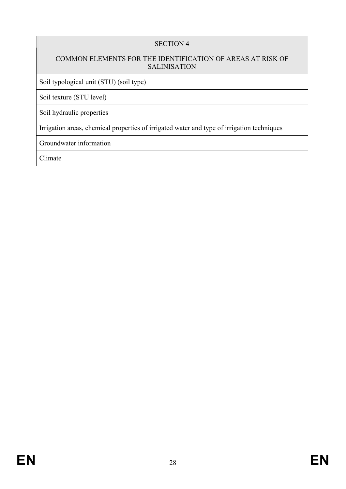# COMMON ELEMENTS FOR THE IDENTIFICATION OF AREAS AT RISK OF SALINISATION

Soil typological unit (STU) (soil type)

Soil texture (STU level)

Soil hydraulic properties

Irrigation areas, chemical properties of irrigated water and type of irrigation techniques

Groundwater information

Climate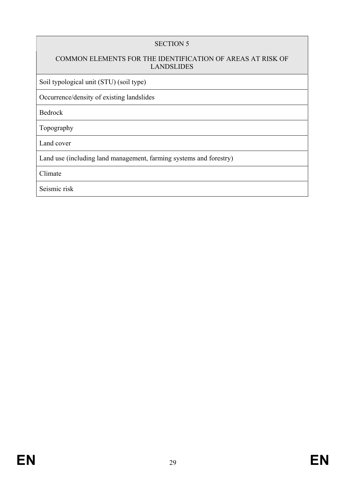# COMMON ELEMENTS FOR THE IDENTIFICATION OF AREAS AT RISK OF LANDSLIDES

Soil typological unit (STU) (soil type)

Occurrence/density of existing landslides

Bedrock

Topography

Land cover

Land use (including land management, farming systems and forestry)

Climate

Seismic risk